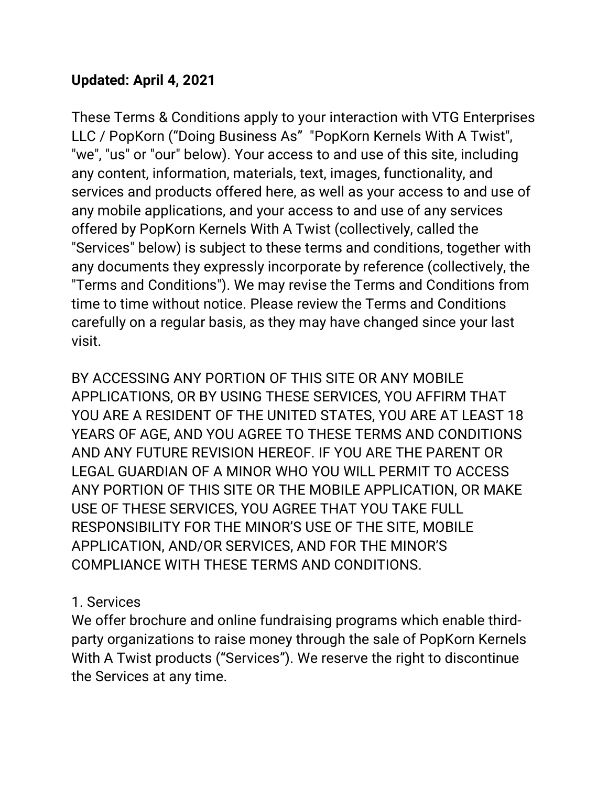## **Updated: April 4, 2021**

These Terms & Conditions apply to your interaction with VTG Enterprises LLC / PopKorn ("Doing Business As" "PopKorn Kernels With A Twist", "we", "us" or "our" below). Your access to and use of this site, including any content, information, materials, text, images, functionality, and services and products offered here, as well as your access to and use of any mobile applications, and your access to and use of any services offered by PopKorn Kernels With A Twist (collectively, called the "Services" below) is subject to these terms and conditions, together with any documents they expressly incorporate by reference (collectively, the "Terms and Conditions"). We may revise the Terms and Conditions from time to time without notice. Please review the Terms and Conditions carefully on a regular basis, as they may have changed since your last visit.

BY ACCESSING ANY PORTION OF THIS SITE OR ANY MOBILE APPLICATIONS, OR BY USING THESE SERVICES, YOU AFFIRM THAT YOU ARE A RESIDENT OF THE UNITED STATES, YOU ARE AT LEAST 18 YEARS OF AGE, AND YOU AGREE TO THESE TERMS AND CONDITIONS AND ANY FUTURE REVISION HEREOF. IF YOU ARE THE PARENT OR LEGAL GUARDIAN OF A MINOR WHO YOU WILL PERMIT TO ACCESS ANY PORTION OF THIS SITE OR THE MOBILE APPLICATION, OR MAKE USE OF THESE SERVICES, YOU AGREE THAT YOU TAKE FULL RESPONSIBILITY FOR THE MINOR'S USE OF THE SITE, MOBILE APPLICATION, AND/OR SERVICES, AND FOR THE MINOR'S COMPLIANCE WITH THESE TERMS AND CONDITIONS.

## 1. Services

We offer brochure and online fundraising programs which enable thirdparty organizations to raise money through the sale of PopKorn Kernels With A Twist products ("Services"). We reserve the right to discontinue the Services at any time.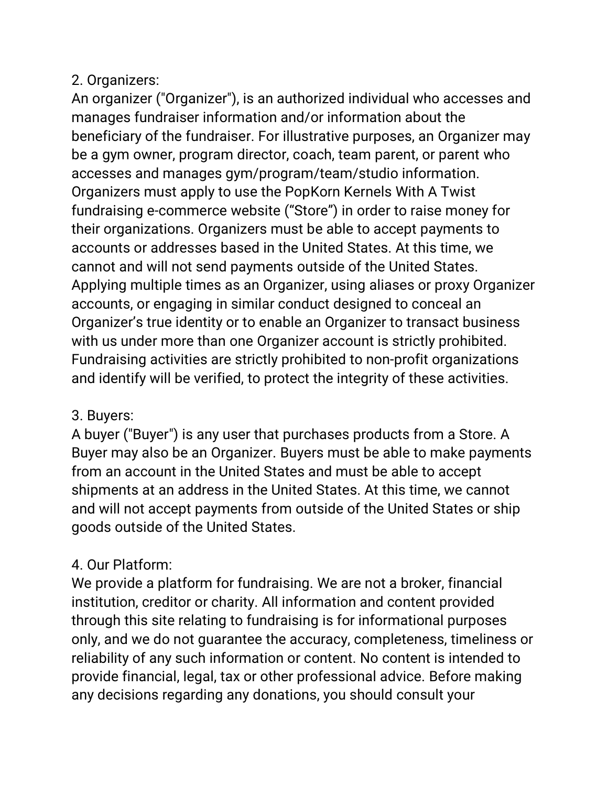## 2. Organizers:

An organizer ("Organizer"), is an authorized individual who accesses and manages fundraiser information and/or information about the beneficiary of the fundraiser. For illustrative purposes, an Organizer may be a gym owner, program director, coach, team parent, or parent who accesses and manages gym/program/team/studio information. Organizers must apply to use the PopKorn Kernels With A Twist fundraising e-commerce website ("Store") in order to raise money for their organizations. Organizers must be able to accept payments to accounts or addresses based in the United States. At this time, we cannot and will not send payments outside of the United States. Applying multiple times as an Organizer, using aliases or proxy Organizer accounts, or engaging in similar conduct designed to conceal an Organizer's true identity or to enable an Organizer to transact business with us under more than one Organizer account is strictly prohibited. Fundraising activities are strictly prohibited to non-profit organizations and identify will be verified, to protect the integrity of these activities.

## 3. Buyers:

A buyer ("Buyer") is any user that purchases products from a Store. A Buyer may also be an Organizer. Buyers must be able to make payments from an account in the United States and must be able to accept shipments at an address in the United States. At this time, we cannot and will not accept payments from outside of the United States or ship goods outside of the United States.

# 4. Our Platform:

We provide a platform for fundraising. We are not a broker, financial institution, creditor or charity. All information and content provided through this site relating to fundraising is for informational purposes only, and we do not guarantee the accuracy, completeness, timeliness or reliability of any such information or content. No content is intended to provide financial, legal, tax or other professional advice. Before making any decisions regarding any donations, you should consult your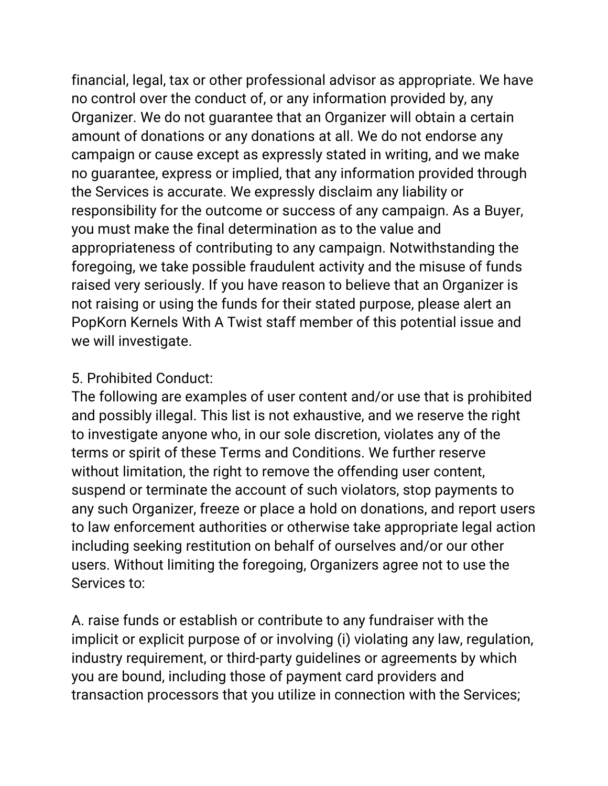financial, legal, tax or other professional advisor as appropriate. We have no control over the conduct of, or any information provided by, any Organizer. We do not guarantee that an Organizer will obtain a certain amount of donations or any donations at all. We do not endorse any campaign or cause except as expressly stated in writing, and we make no guarantee, express or implied, that any information provided through the Services is accurate. We expressly disclaim any liability or responsibility for the outcome or success of any campaign. As a Buyer, you must make the final determination as to the value and appropriateness of contributing to any campaign. Notwithstanding the foregoing, we take possible fraudulent activity and the misuse of funds raised very seriously. If you have reason to believe that an Organizer is not raising or using the funds for their stated purpose, please alert an PopKorn Kernels With A Twist staff member of this potential issue and we will investigate.

#### 5. Prohibited Conduct:

The following are examples of user content and/or use that is prohibited and possibly illegal. This list is not exhaustive, and we reserve the right to investigate anyone who, in our sole discretion, violates any of the terms or spirit of these Terms and Conditions. We further reserve without limitation, the right to remove the offending user content, suspend or terminate the account of such violators, stop payments to any such Organizer, freeze or place a hold on donations, and report users to law enforcement authorities or otherwise take appropriate legal action including seeking restitution on behalf of ourselves and/or our other users. Without limiting the foregoing, Organizers agree not to use the Services to:

A. raise funds or establish or contribute to any fundraiser with the implicit or explicit purpose of or involving (i) violating any law, regulation, industry requirement, or third-party guidelines or agreements by which you are bound, including those of payment card providers and transaction processors that you utilize in connection with the Services;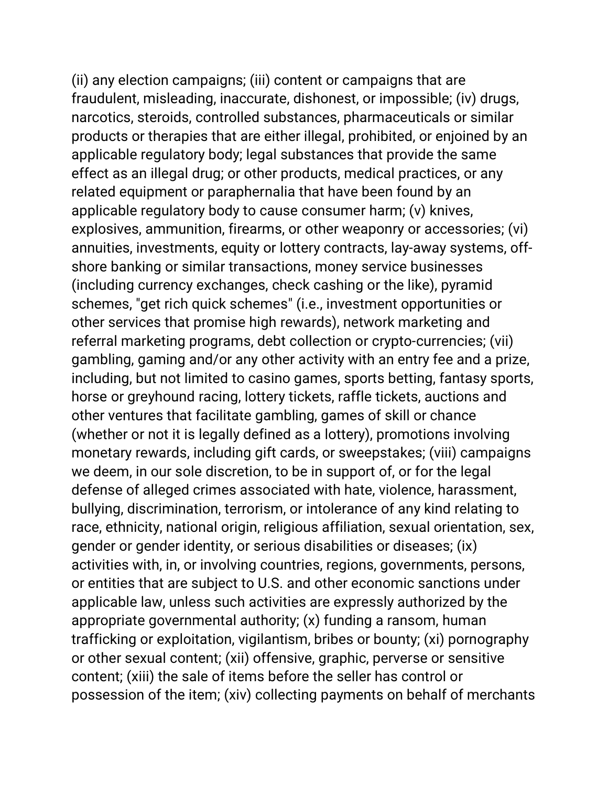(ii) any election campaigns; (iii) content or campaigns that are fraudulent, misleading, inaccurate, dishonest, or impossible; (iv) drugs, narcotics, steroids, controlled substances, pharmaceuticals or similar products or therapies that are either illegal, prohibited, or enjoined by an applicable regulatory body; legal substances that provide the same effect as an illegal drug; or other products, medical practices, or any related equipment or paraphernalia that have been found by an applicable regulatory body to cause consumer harm; (v) knives, explosives, ammunition, firearms, or other weaponry or accessories; (vi) annuities, investments, equity or lottery contracts, lay-away systems, offshore banking or similar transactions, money service businesses (including currency exchanges, check cashing or the like), pyramid schemes, "get rich quick schemes" (i.e., investment opportunities or other services that promise high rewards), network marketing and referral marketing programs, debt collection or crypto-currencies; (vii) gambling, gaming and/or any other activity with an entry fee and a prize, including, but not limited to casino games, sports betting, fantasy sports, horse or greyhound racing, lottery tickets, raffle tickets, auctions and other ventures that facilitate gambling, games of skill or chance (whether or not it is legally defined as a lottery), promotions involving monetary rewards, including gift cards, or sweepstakes; (viii) campaigns we deem, in our sole discretion, to be in support of, or for the legal defense of alleged crimes associated with hate, violence, harassment, bullying, discrimination, terrorism, or intolerance of any kind relating to race, ethnicity, national origin, religious affiliation, sexual orientation, sex, gender or gender identity, or serious disabilities or diseases; (ix) activities with, in, or involving countries, regions, governments, persons, or entities that are subject to U.S. and other economic sanctions under applicable law, unless such activities are expressly authorized by the appropriate governmental authority; (x) funding a ransom, human trafficking or exploitation, vigilantism, bribes or bounty; (xi) pornography or other sexual content; (xii) offensive, graphic, perverse or sensitive content; (xiii) the sale of items before the seller has control or possession of the item; (xiv) collecting payments on behalf of merchants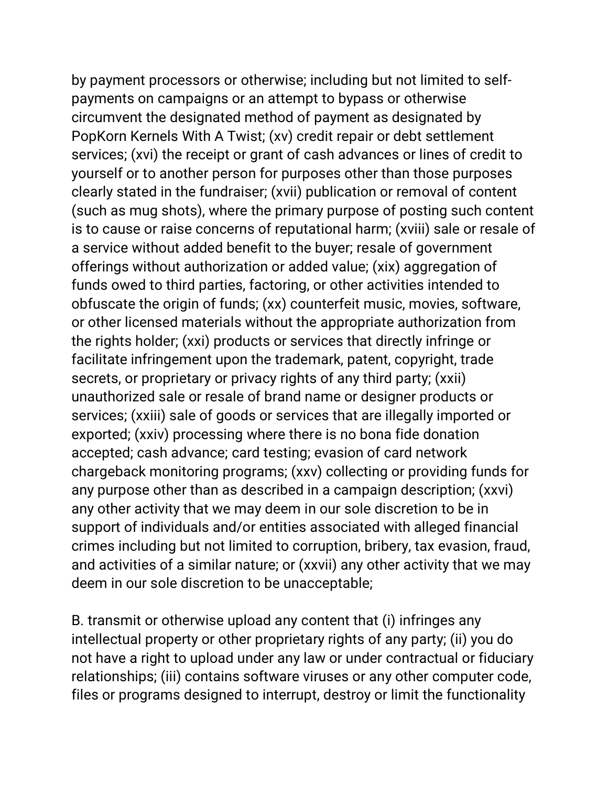by payment processors or otherwise; including but not limited to selfpayments on campaigns or an attempt to bypass or otherwise circumvent the designated method of payment as designated by PopKorn Kernels With A Twist; (xv) credit repair or debt settlement services; (xvi) the receipt or grant of cash advances or lines of credit to yourself or to another person for purposes other than those purposes clearly stated in the fundraiser; (xvii) publication or removal of content (such as mug shots), where the primary purpose of posting such content is to cause or raise concerns of reputational harm; (xviii) sale or resale of a service without added benefit to the buyer; resale of government offerings without authorization or added value; (xix) aggregation of funds owed to third parties, factoring, or other activities intended to obfuscate the origin of funds; (xx) counterfeit music, movies, software, or other licensed materials without the appropriate authorization from the rights holder; (xxi) products or services that directly infringe or facilitate infringement upon the trademark, patent, copyright, trade secrets, or proprietary or privacy rights of any third party; (xxii) unauthorized sale or resale of brand name or designer products or services; (xxiii) sale of goods or services that are illegally imported or exported; (xxiv) processing where there is no bona fide donation accepted; cash advance; card testing; evasion of card network chargeback monitoring programs; (xxv) collecting or providing funds for any purpose other than as described in a campaign description; (xxvi) any other activity that we may deem in our sole discretion to be in support of individuals and/or entities associated with alleged financial crimes including but not limited to corruption, bribery, tax evasion, fraud, and activities of a similar nature; or (xxvii) any other activity that we may deem in our sole discretion to be unacceptable;

B. transmit or otherwise upload any content that (i) infringes any intellectual property or other proprietary rights of any party; (ii) you do not have a right to upload under any law or under contractual or fiduciary relationships; (iii) contains software viruses or any other computer code, files or programs designed to interrupt, destroy or limit the functionality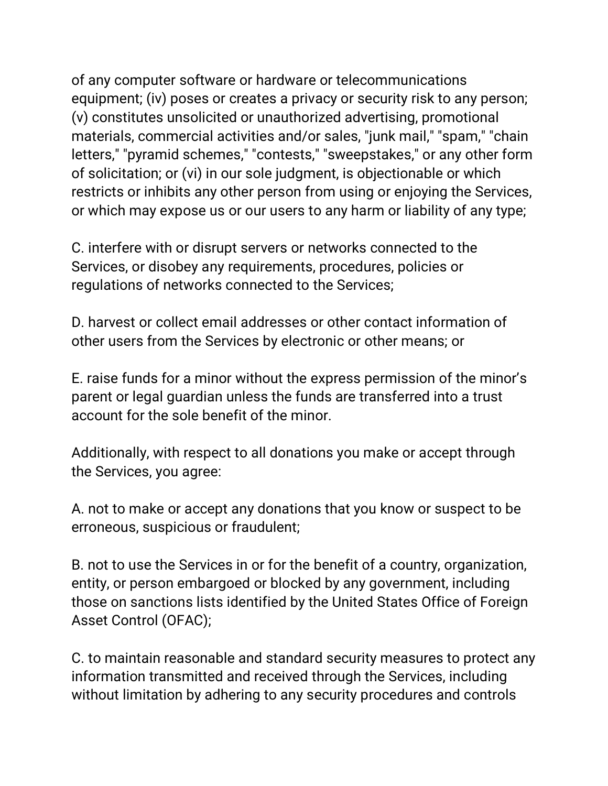of any computer software or hardware or telecommunications equipment; (iv) poses or creates a privacy or security risk to any person; (v) constitutes unsolicited or unauthorized advertising, promotional materials, commercial activities and/or sales, "junk mail," "spam," "chain letters," "pyramid schemes," "contests," "sweepstakes," or any other form of solicitation; or (vi) in our sole judgment, is objectionable or which restricts or inhibits any other person from using or enjoying the Services, or which may expose us or our users to any harm or liability of any type;

C. interfere with or disrupt servers or networks connected to the Services, or disobey any requirements, procedures, policies or regulations of networks connected to the Services;

D. harvest or collect email addresses or other contact information of other users from the Services by electronic or other means; or

E. raise funds for a minor without the express permission of the minor's parent or legal guardian unless the funds are transferred into a trust account for the sole benefit of the minor.

Additionally, with respect to all donations you make or accept through the Services, you agree:

A. not to make or accept any donations that you know or suspect to be erroneous, suspicious or fraudulent;

B. not to use the Services in or for the benefit of a country, organization, entity, or person embargoed or blocked by any government, including those on sanctions lists identified by the United States Office of Foreign Asset Control (OFAC);

C. to maintain reasonable and standard security measures to protect any information transmitted and received through the Services, including without limitation by adhering to any security procedures and controls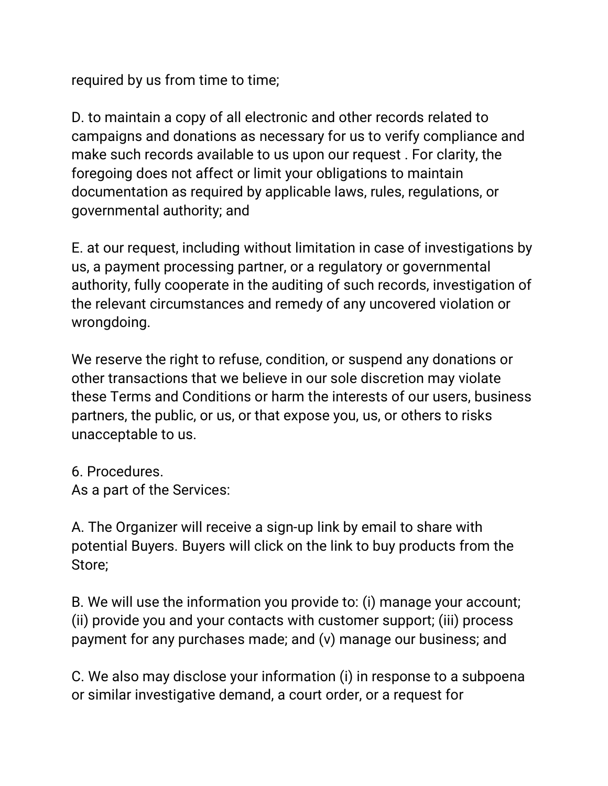required by us from time to time;

D. to maintain a copy of all electronic and other records related to campaigns and donations as necessary for us to verify compliance and make such records available to us upon our request . For clarity, the foregoing does not affect or limit your obligations to maintain documentation as required by applicable laws, rules, regulations, or governmental authority; and

E. at our request, including without limitation in case of investigations by us, a payment processing partner, or a regulatory or governmental authority, fully cooperate in the auditing of such records, investigation of the relevant circumstances and remedy of any uncovered violation or wrongdoing.

We reserve the right to refuse, condition, or suspend any donations or other transactions that we believe in our sole discretion may violate these Terms and Conditions or harm the interests of our users, business partners, the public, or us, or that expose you, us, or others to risks unacceptable to us.

6. Procedures. As a part of the Services:

A. The Organizer will receive a sign-up link by email to share with potential Buyers. Buyers will click on the link to buy products from the Store;

B. We will use the information you provide to: (i) manage your account; (ii) provide you and your contacts with customer support; (iii) process payment for any purchases made; and (v) manage our business; and

C. We also may disclose your information (i) in response to a subpoena or similar investigative demand, a court order, or a request for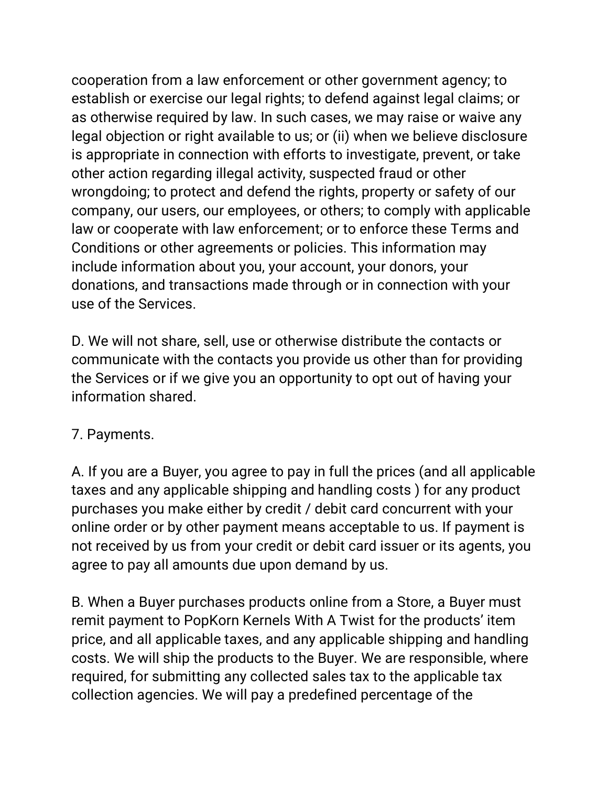cooperation from a law enforcement or other government agency; to establish or exercise our legal rights; to defend against legal claims; or as otherwise required by law. In such cases, we may raise or waive any legal objection or right available to us; or (ii) when we believe disclosure is appropriate in connection with efforts to investigate, prevent, or take other action regarding illegal activity, suspected fraud or other wrongdoing; to protect and defend the rights, property or safety of our company, our users, our employees, or others; to comply with applicable law or cooperate with law enforcement; or to enforce these Terms and Conditions or other agreements or policies. This information may include information about you, your account, your donors, your donations, and transactions made through or in connection with your use of the Services.

D. We will not share, sell, use or otherwise distribute the contacts or communicate with the contacts you provide us other than for providing the Services or if we give you an opportunity to opt out of having your information shared.

## 7. Payments.

A. If you are a Buyer, you agree to pay in full the prices (and all applicable taxes and any applicable shipping and handling costs ) for any product purchases you make either by credit / debit card concurrent with your online order or by other payment means acceptable to us. If payment is not received by us from your credit or debit card issuer or its agents, you agree to pay all amounts due upon demand by us.

B. When a Buyer purchases products online from a Store, a Buyer must remit payment to PopKorn Kernels With A Twist for the products' item price, and all applicable taxes, and any applicable shipping and handling costs. We will ship the products to the Buyer. We are responsible, where required, for submitting any collected sales tax to the applicable tax collection agencies. We will pay a predefined percentage of the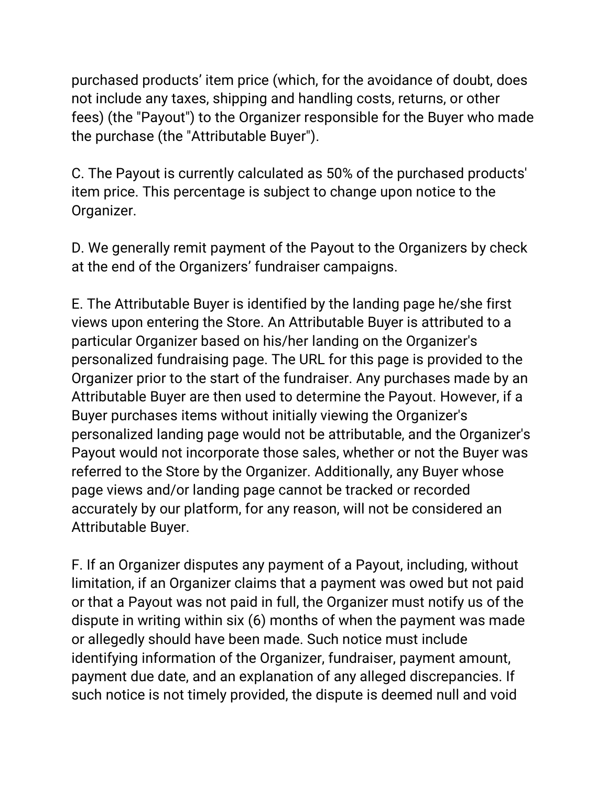purchased products' item price (which, for the avoidance of doubt, does not include any taxes, shipping and handling costs, returns, or other fees) (the "Payout") to the Organizer responsible for the Buyer who made the purchase (the "Attributable Buyer").

C. The Payout is currently calculated as 50% of the purchased products' item price. This percentage is subject to change upon notice to the Organizer.

D. We generally remit payment of the Payout to the Organizers by check at the end of the Organizers' fundraiser campaigns.

E. The Attributable Buyer is identified by the landing page he/she first views upon entering the Store. An Attributable Buyer is attributed to a particular Organizer based on his/her landing on the Organizer's personalized fundraising page. The URL for this page is provided to the Organizer prior to the start of the fundraiser. Any purchases made by an Attributable Buyer are then used to determine the Payout. However, if a Buyer purchases items without initially viewing the Organizer's personalized landing page would not be attributable, and the Organizer's Payout would not incorporate those sales, whether or not the Buyer was referred to the Store by the Organizer. Additionally, any Buyer whose page views and/or landing page cannot be tracked or recorded accurately by our platform, for any reason, will not be considered an Attributable Buyer.

F. If an Organizer disputes any payment of a Payout, including, without limitation, if an Organizer claims that a payment was owed but not paid or that a Payout was not paid in full, the Organizer must notify us of the dispute in writing within six (6) months of when the payment was made or allegedly should have been made. Such notice must include identifying information of the Organizer, fundraiser, payment amount, payment due date, and an explanation of any alleged discrepancies. If such notice is not timely provided, the dispute is deemed null and void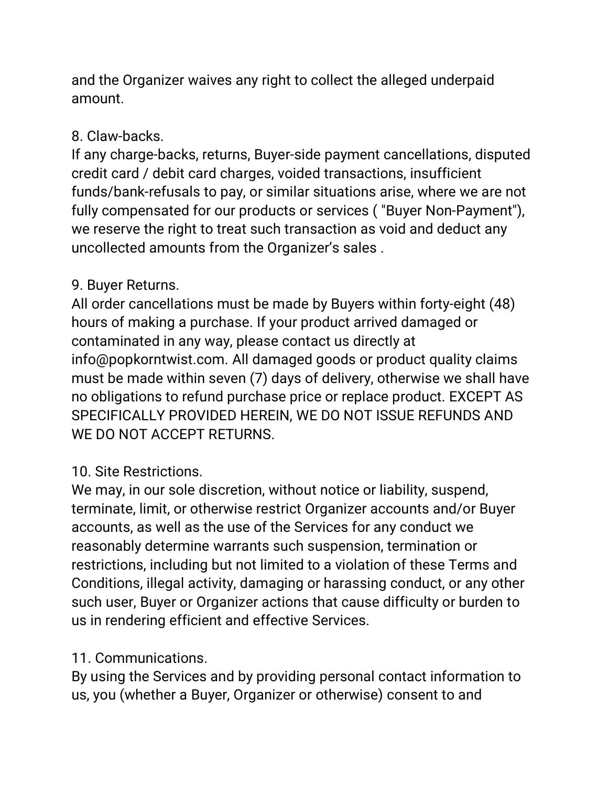and the Organizer waives any right to collect the alleged underpaid amount.

## 8. Claw-backs.

If any charge-backs, returns, Buyer-side payment cancellations, disputed credit card / debit card charges, voided transactions, insufficient funds/bank-refusals to pay, or similar situations arise, where we are not fully compensated for our products or services ( "Buyer Non-Payment"), we reserve the right to treat such transaction as void and deduct any uncollected amounts from the Organizer's sales .

## 9. Buyer Returns.

All order cancellations must be made by Buyers within forty-eight (48) hours of making a purchase. If your product arrived damaged or contaminated in any way, please contact us directly at info@popkorntwist.com. All damaged goods or product quality claims must be made within seven (7) days of delivery, otherwise we shall have no obligations to refund purchase price or replace product. EXCEPT AS SPECIFICALLY PROVIDED HEREIN, WE DO NOT ISSUE REFUNDS AND WE DO NOT ACCEPT RETURNS.

# 10. Site Restrictions.

We may, in our sole discretion, without notice or liability, suspend, terminate, limit, or otherwise restrict Organizer accounts and/or Buyer accounts, as well as the use of the Services for any conduct we reasonably determine warrants such suspension, termination or restrictions, including but not limited to a violation of these Terms and Conditions, illegal activity, damaging or harassing conduct, or any other such user, Buyer or Organizer actions that cause difficulty or burden to us in rendering efficient and effective Services.

## 11. Communications.

By using the Services and by providing personal contact information to us, you (whether a Buyer, Organizer or otherwise) consent to and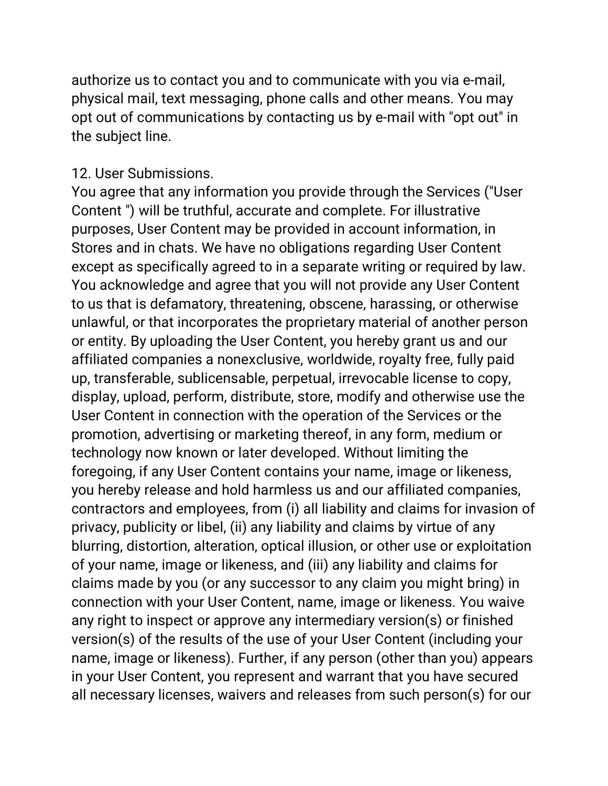authorize us to contact you and to communicate with you via e-mail, physical mail, text messaging, phone calls and other means. You may opt out of communications by contacting us by e-mail with "opt out" in the subject line.

#### 12. User Submissions.

You agree that any information you provide through the Services ("User Content ") will be truthful, accurate and complete. For illustrative purposes, User Content may be provided in account information, in Stores and in chats. We have no obligations regarding User Content except as specifically agreed to in a separate writing or required by law. You acknowledge and agree that you will not provide any User Content to us that is defamatory, threatening, obscene, harassing, or otherwise unlawful, or that incorporates the proprietary material of another person or entity. By uploading the User Content, you hereby grant us and our affiliated companies a nonexclusive, worldwide, royalty free, fully paid up, transferable, sublicensable, perpetual, irrevocable license to copy, display, upload, perform, distribute, store, modify and otherwise use the User Content in connection with the operation of the Services or the promotion, advertising or marketing thereof, in any form, medium or technology now known or later developed. Without limiting the foregoing, if any User Content contains your name, image or likeness, you hereby release and hold harmless us and our affiliated companies, contractors and employees, from (i) all liability and claims for invasion of privacy, publicity or libel, (ii) any liability and claims by virtue of any blurring, distortion, alteration, optical illusion, or other use or exploitation of your name, image or likeness, and (iii) any liability and claims for claims made by you (or any successor to any claim you might bring) in connection with your User Content, name, image or likeness. You waive any right to inspect or approve any intermediary version(s) or finished version(s) of the results of the use of your User Content (including your name, image or likeness). Further, if any person (other than you) appears in your User Content, you represent and warrant that you have secured all necessary licenses, waivers and releases from such person(s) for our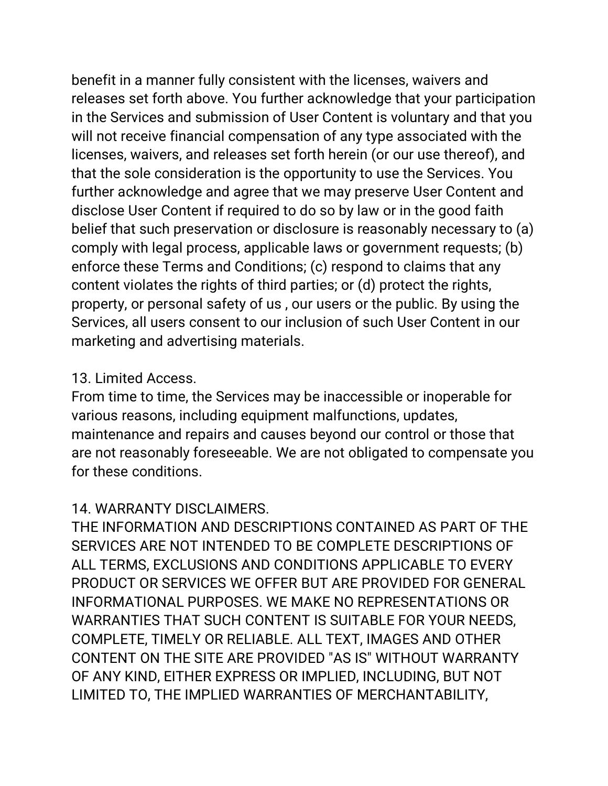benefit in a manner fully consistent with the licenses, waivers and releases set forth above. You further acknowledge that your participation in the Services and submission of User Content is voluntary and that you will not receive financial compensation of any type associated with the licenses, waivers, and releases set forth herein (or our use thereof), and that the sole consideration is the opportunity to use the Services. You further acknowledge and agree that we may preserve User Content and disclose User Content if required to do so by law or in the good faith belief that such preservation or disclosure is reasonably necessary to (a) comply with legal process, applicable laws or government requests; (b) enforce these Terms and Conditions; (c) respond to claims that any content violates the rights of third parties; or (d) protect the rights, property, or personal safety of us , our users or the public. By using the Services, all users consent to our inclusion of such User Content in our marketing and advertising materials.

## 13. Limited Access.

From time to time, the Services may be inaccessible or inoperable for various reasons, including equipment malfunctions, updates, maintenance and repairs and causes beyond our control or those that are not reasonably foreseeable. We are not obligated to compensate you for these conditions.

# 14. WARRANTY DISCLAIMERS.

THE INFORMATION AND DESCRIPTIONS CONTAINED AS PART OF THE SERVICES ARE NOT INTENDED TO BE COMPLETE DESCRIPTIONS OF ALL TERMS, EXCLUSIONS AND CONDITIONS APPLICABLE TO EVERY PRODUCT OR SERVICES WE OFFER BUT ARE PROVIDED FOR GENERAL INFORMATIONAL PURPOSES. WE MAKE NO REPRESENTATIONS OR WARRANTIES THAT SUCH CONTENT IS SUITABLE FOR YOUR NEEDS, COMPLETE, TIMELY OR RELIABLE. ALL TEXT, IMAGES AND OTHER CONTENT ON THE SITE ARE PROVIDED "AS IS" WITHOUT WARRANTY OF ANY KIND, EITHER EXPRESS OR IMPLIED, INCLUDING, BUT NOT LIMITED TO, THE IMPLIED WARRANTIES OF MERCHANTABILITY,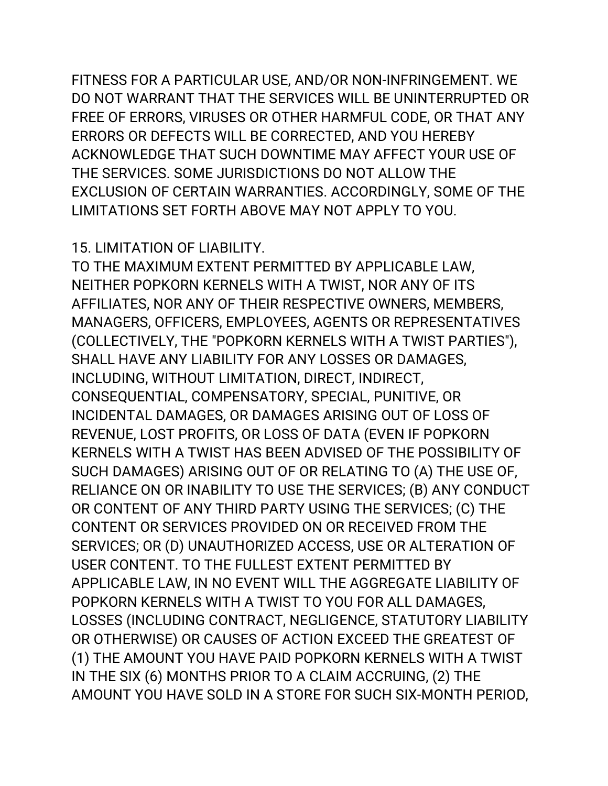FITNESS FOR A PARTICULAR USE, AND/OR NON-INFRINGEMENT. WE DO NOT WARRANT THAT THE SERVICES WILL BE UNINTERRUPTED OR FREE OF ERRORS, VIRUSES OR OTHER HARMFUL CODE, OR THAT ANY ERRORS OR DEFECTS WILL BE CORRECTED, AND YOU HEREBY ACKNOWLEDGE THAT SUCH DOWNTIME MAY AFFECT YOUR USE OF THE SERVICES. SOME JURISDICTIONS DO NOT ALLOW THE EXCLUSION OF CERTAIN WARRANTIES. ACCORDINGLY, SOME OF THE LIMITATIONS SET FORTH ABOVE MAY NOT APPLY TO YOU.

#### 15. LIMITATION OF LIABILITY.

TO THE MAXIMUM EXTENT PERMITTED BY APPLICABLE LAW, NEITHER POPKORN KERNELS WITH A TWIST, NOR ANY OF ITS AFFILIATES, NOR ANY OF THEIR RESPECTIVE OWNERS, MEMBERS, MANAGERS, OFFICERS, EMPLOYEES, AGENTS OR REPRESENTATIVES (COLLECTIVELY, THE "POPKORN KERNELS WITH A TWIST PARTIES"), SHALL HAVE ANY LIABILITY FOR ANY LOSSES OR DAMAGES, INCLUDING, WITHOUT LIMITATION, DIRECT, INDIRECT, CONSEQUENTIAL, COMPENSATORY, SPECIAL, PUNITIVE, OR INCIDENTAL DAMAGES, OR DAMAGES ARISING OUT OF LOSS OF REVENUE, LOST PROFITS, OR LOSS OF DATA (EVEN IF POPKORN KERNELS WITH A TWIST HAS BEEN ADVISED OF THE POSSIBILITY OF SUCH DAMAGES) ARISING OUT OF OR RELATING TO (A) THE USE OF, RELIANCE ON OR INABILITY TO USE THE SERVICES; (B) ANY CONDUCT OR CONTENT OF ANY THIRD PARTY USING THE SERVICES; (C) THE CONTENT OR SERVICES PROVIDED ON OR RECEIVED FROM THE SERVICES; OR (D) UNAUTHORIZED ACCESS, USE OR ALTERATION OF USER CONTENT. TO THE FULLEST EXTENT PERMITTED BY APPLICABLE LAW, IN NO EVENT WILL THE AGGREGATE LIABILITY OF POPKORN KERNELS WITH A TWIST TO YOU FOR ALL DAMAGES, LOSSES (INCLUDING CONTRACT, NEGLIGENCE, STATUTORY LIABILITY OR OTHERWISE) OR CAUSES OF ACTION EXCEED THE GREATEST OF (1) THE AMOUNT YOU HAVE PAID POPKORN KERNELS WITH A TWIST IN THE SIX (6) MONTHS PRIOR TO A CLAIM ACCRUING, (2) THE AMOUNT YOU HAVE SOLD IN A STORE FOR SUCH SIX-MONTH PERIOD,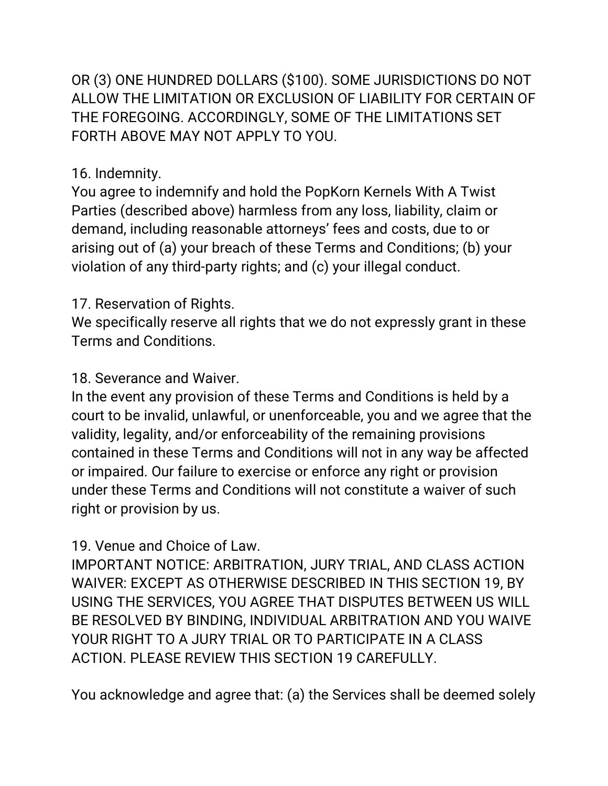OR (3) ONE HUNDRED DOLLARS (\$100). SOME JURISDICTIONS DO NOT ALLOW THE LIMITATION OR EXCLUSION OF LIABILITY FOR CERTAIN OF THE FOREGOING. ACCORDINGLY, SOME OF THE LIMITATIONS SET FORTH ABOVE MAY NOT APPLY TO YOU.

## 16. Indemnity.

You agree to indemnify and hold the PopKorn Kernels With A Twist Parties (described above) harmless from any loss, liability, claim or demand, including reasonable attorneys' fees and costs, due to or arising out of (a) your breach of these Terms and Conditions; (b) your violation of any third-party rights; and (c) your illegal conduct.

# 17. Reservation of Rights.

We specifically reserve all rights that we do not expressly grant in these Terms and Conditions.

## 18. Severance and Waiver.

In the event any provision of these Terms and Conditions is held by a court to be invalid, unlawful, or unenforceable, you and we agree that the validity, legality, and/or enforceability of the remaining provisions contained in these Terms and Conditions will not in any way be affected or impaired. Our failure to exercise or enforce any right or provision under these Terms and Conditions will not constitute a waiver of such right or provision by us.

# 19. Venue and Choice of Law.

IMPORTANT NOTICE: ARBITRATION, JURY TRIAL, AND CLASS ACTION WAIVER: EXCEPT AS OTHERWISE DESCRIBED IN THIS SECTION 19, BY USING THE SERVICES, YOU AGREE THAT DISPUTES BETWEEN US WILL BE RESOLVED BY BINDING, INDIVIDUAL ARBITRATION AND YOU WAIVE YOUR RIGHT TO A JURY TRIAL OR TO PARTICIPATE IN A CLASS ACTION. PLEASE REVIEW THIS SECTION 19 CAREFULLY.

You acknowledge and agree that: (a) the Services shall be deemed solely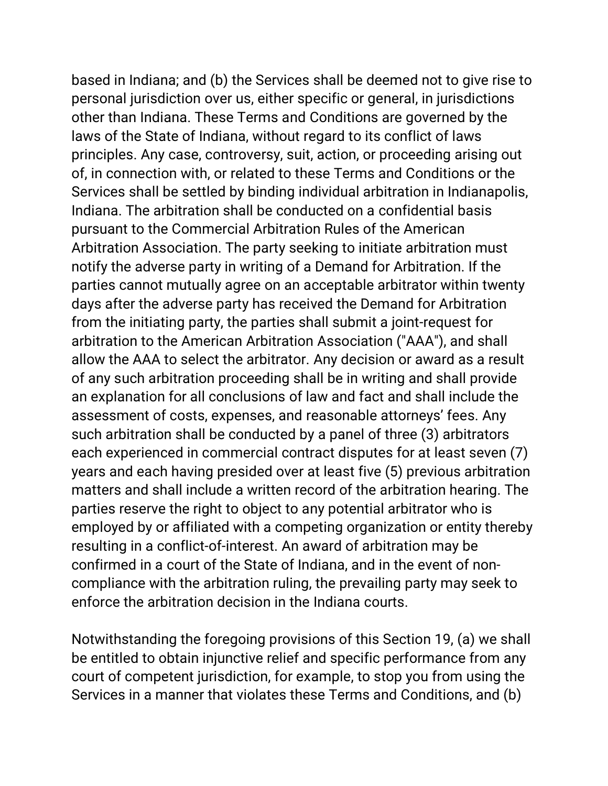based in Indiana; and (b) the Services shall be deemed not to give rise to personal jurisdiction over us, either specific or general, in jurisdictions other than Indiana. These Terms and Conditions are governed by the laws of the State of Indiana, without regard to its conflict of laws principles. Any case, controversy, suit, action, or proceeding arising out of, in connection with, or related to these Terms and Conditions or the Services shall be settled by binding individual arbitration in Indianapolis, Indiana. The arbitration shall be conducted on a confidential basis pursuant to the Commercial Arbitration Rules of the American Arbitration Association. The party seeking to initiate arbitration must notify the adverse party in writing of a Demand for Arbitration. If the parties cannot mutually agree on an acceptable arbitrator within twenty days after the adverse party has received the Demand for Arbitration from the initiating party, the parties shall submit a joint-request for arbitration to the American Arbitration Association ("AAA"), and shall allow the AAA to select the arbitrator. Any decision or award as a result of any such arbitration proceeding shall be in writing and shall provide an explanation for all conclusions of law and fact and shall include the assessment of costs, expenses, and reasonable attorneys' fees. Any such arbitration shall be conducted by a panel of three (3) arbitrators each experienced in commercial contract disputes for at least seven (7) years and each having presided over at least five (5) previous arbitration matters and shall include a written record of the arbitration hearing. The parties reserve the right to object to any potential arbitrator who is employed by or affiliated with a competing organization or entity thereby resulting in a conflict-of-interest. An award of arbitration may be confirmed in a court of the State of Indiana, and in the event of noncompliance with the arbitration ruling, the prevailing party may seek to enforce the arbitration decision in the Indiana courts.

Notwithstanding the foregoing provisions of this Section 19, (a) we shall be entitled to obtain injunctive relief and specific performance from any court of competent jurisdiction, for example, to stop you from using the Services in a manner that violates these Terms and Conditions, and (b)